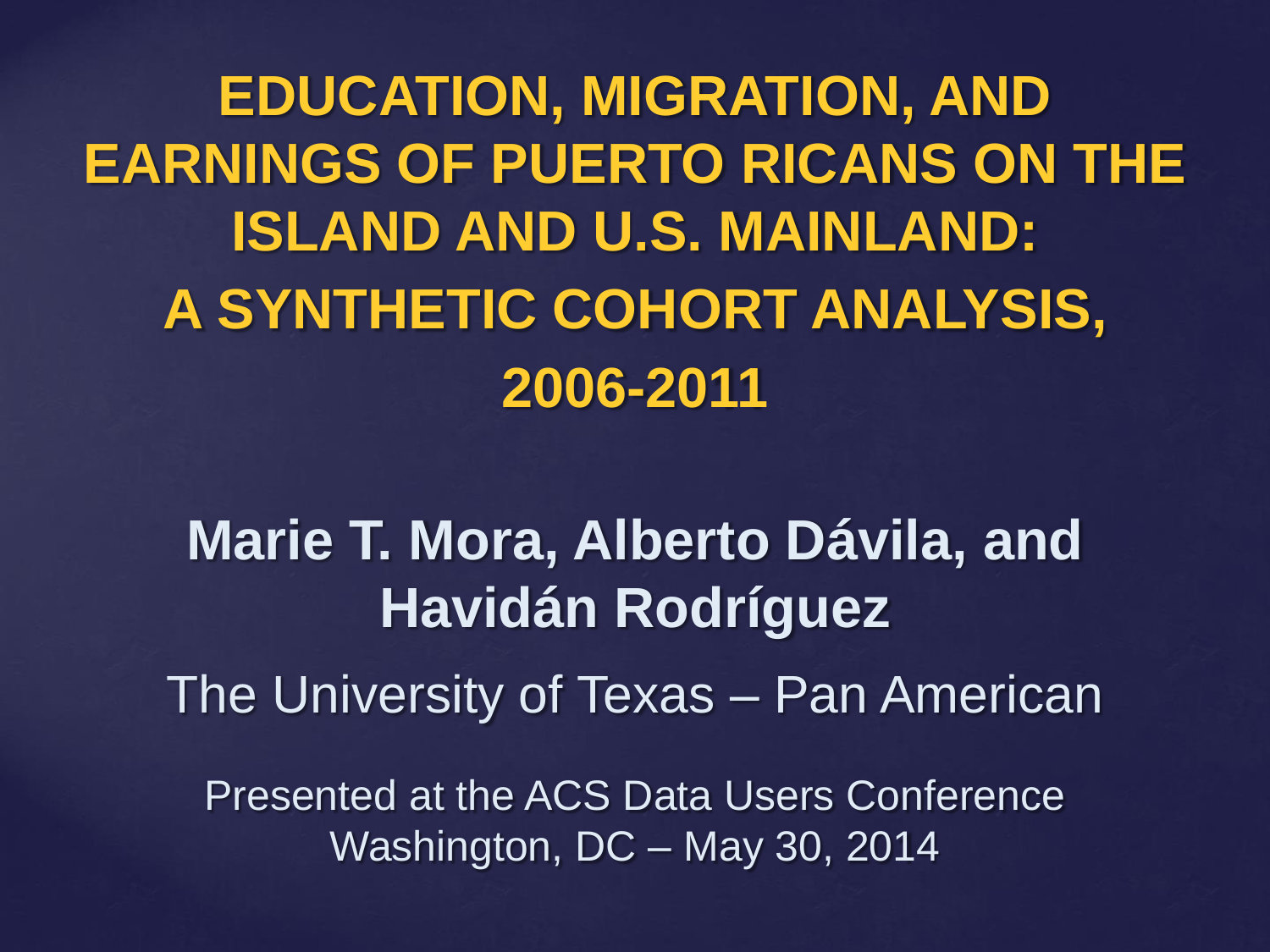**EDUCATION, MIGRATION, AND EARNINGS OF PUERTO RICANS ON THE ISLAND AND U.S. MAINLAND: A SYNTHETIC COHORT ANALYSIS, 2006-2011** 

**Marie T. Mora, Alberto Dávila, and Havidán Rodríguez** The University of Texas – Pan American

Presented at the ACS Data Users Conference Washington, DC – May 30, 2014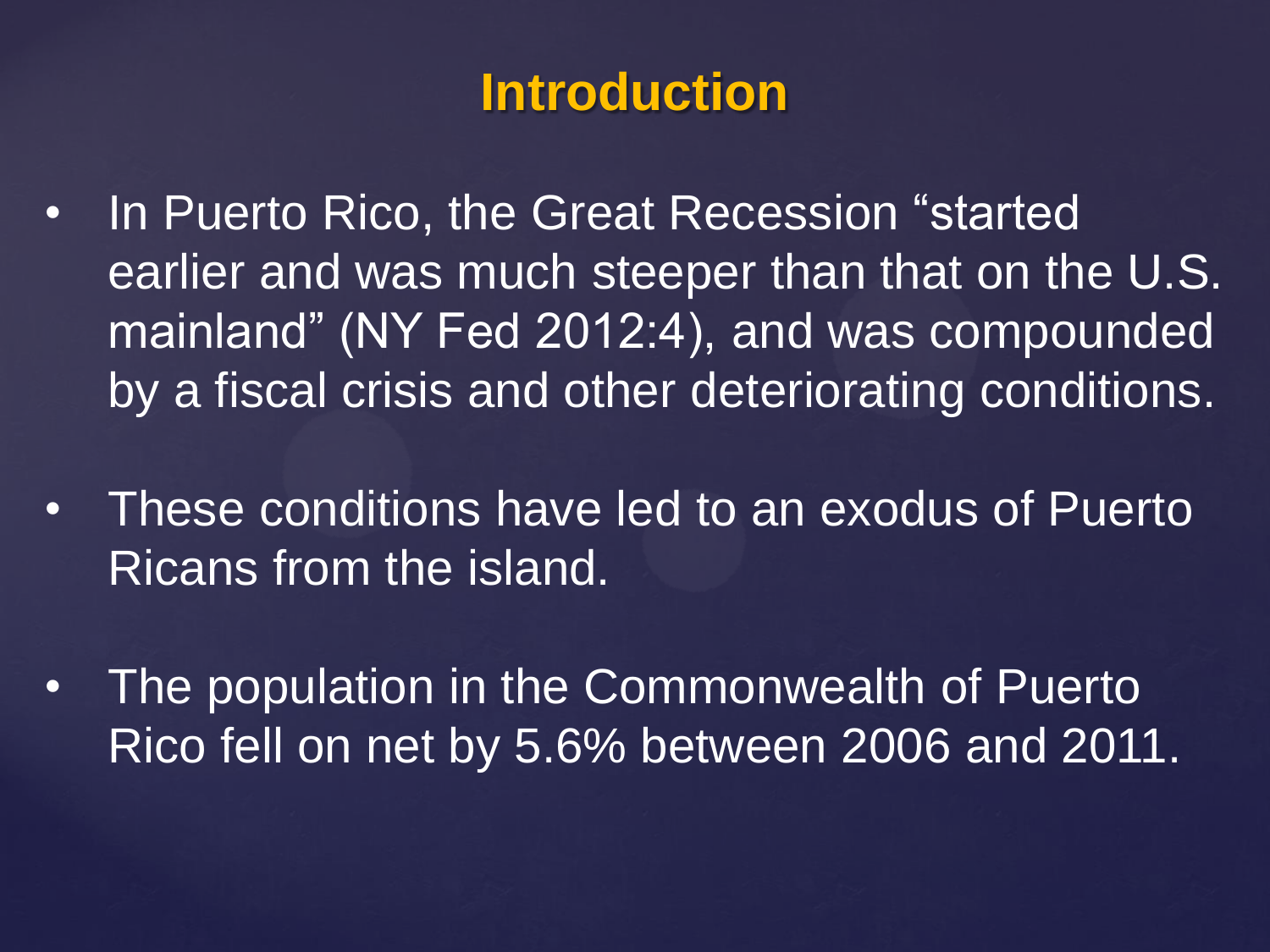# **Introduction**

- In Puerto Rico, the Great Recession "started" earlier and was much steeper than that on the U.S. mainland" (NY Fed 2012:4), and was compounded by a fiscal crisis and other deteriorating conditions.
- These conditions have led to an exodus of Puerto Ricans from the island.
- The population in the Commonwealth of Puerto Rico fell on net by 5.6% between 2006 and 2011.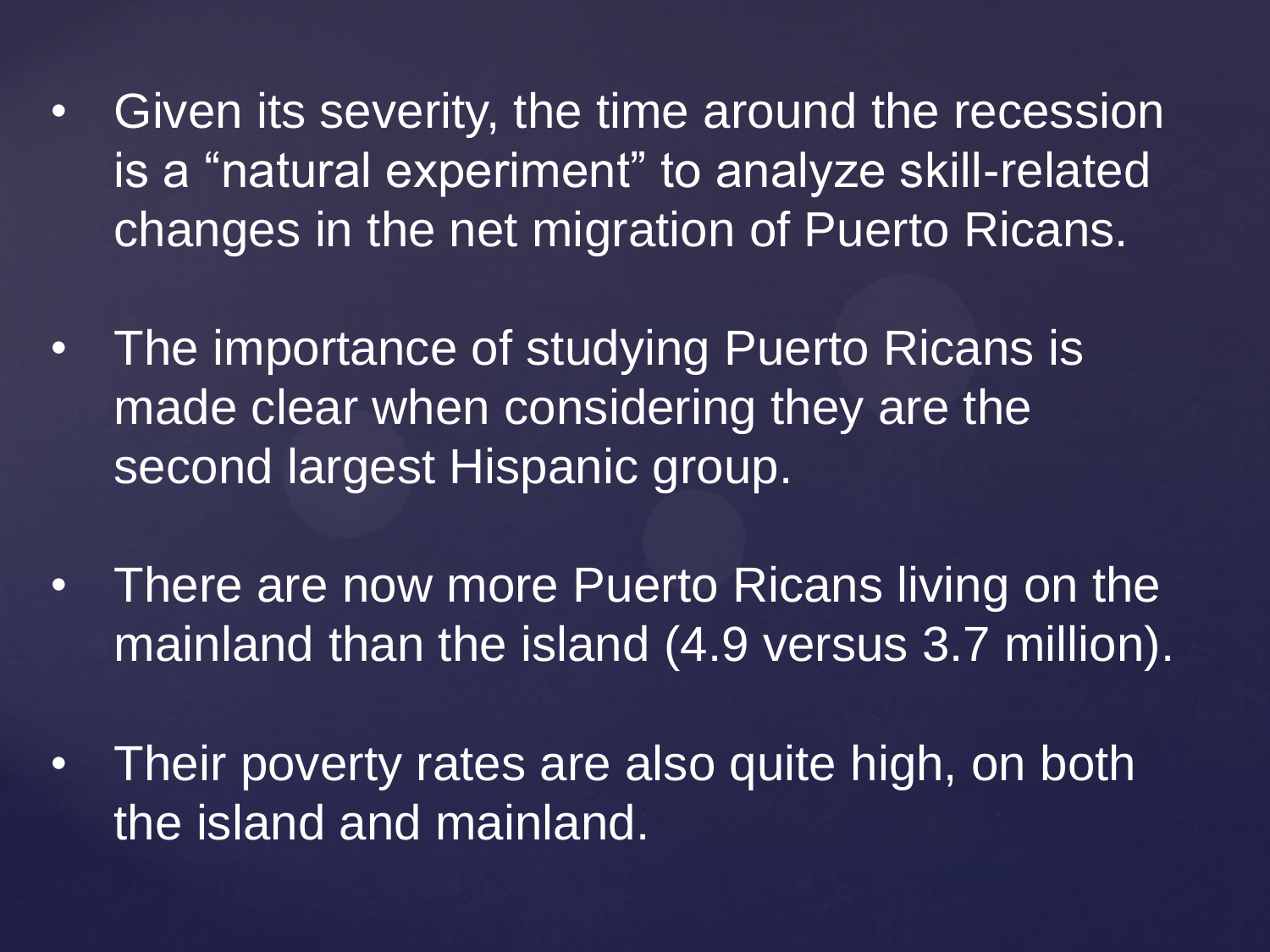- Given its severity, the time around the recession is a "natural experiment" to analyze skill-related changes in the net migration of Puerto Ricans.
- The importance of studying Puerto Ricans is made clear when considering they are the second largest Hispanic group.
- There are now more Puerto Ricans living on the mainland than the island (4.9 versus 3.7 million).
- Their poverty rates are also quite high, on both the island and mainland.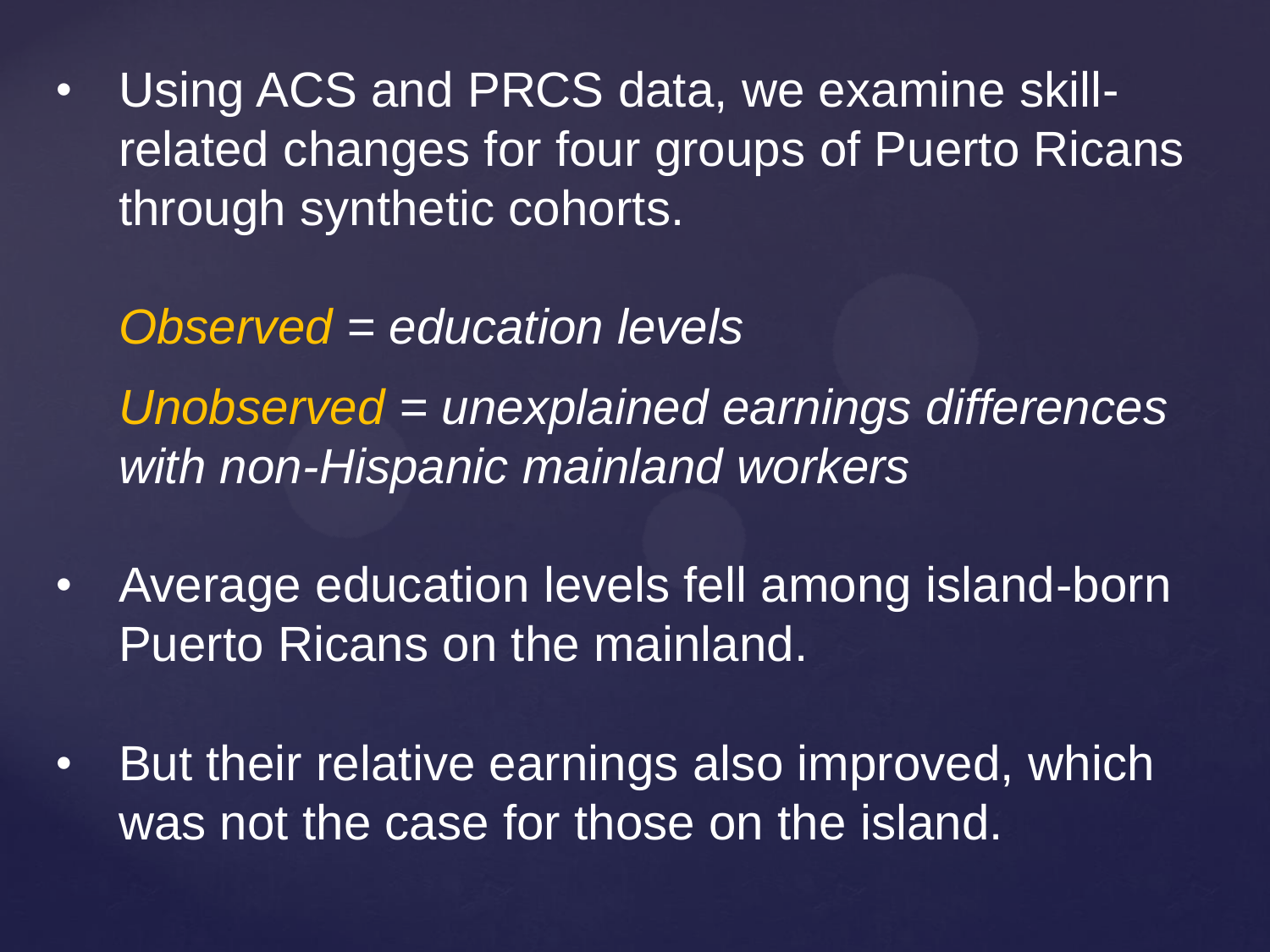• Using ACS and PRCS data, we examine skillrelated changes for four groups of Puerto Ricans through synthetic cohorts.

*Observed = education levels Unobserved = unexplained earnings differences with non-Hispanic mainland workers* 

- Average education levels fell among island-born Puerto Ricans on the mainland.
- But their relative earnings also improved, which was not the case for those on the island.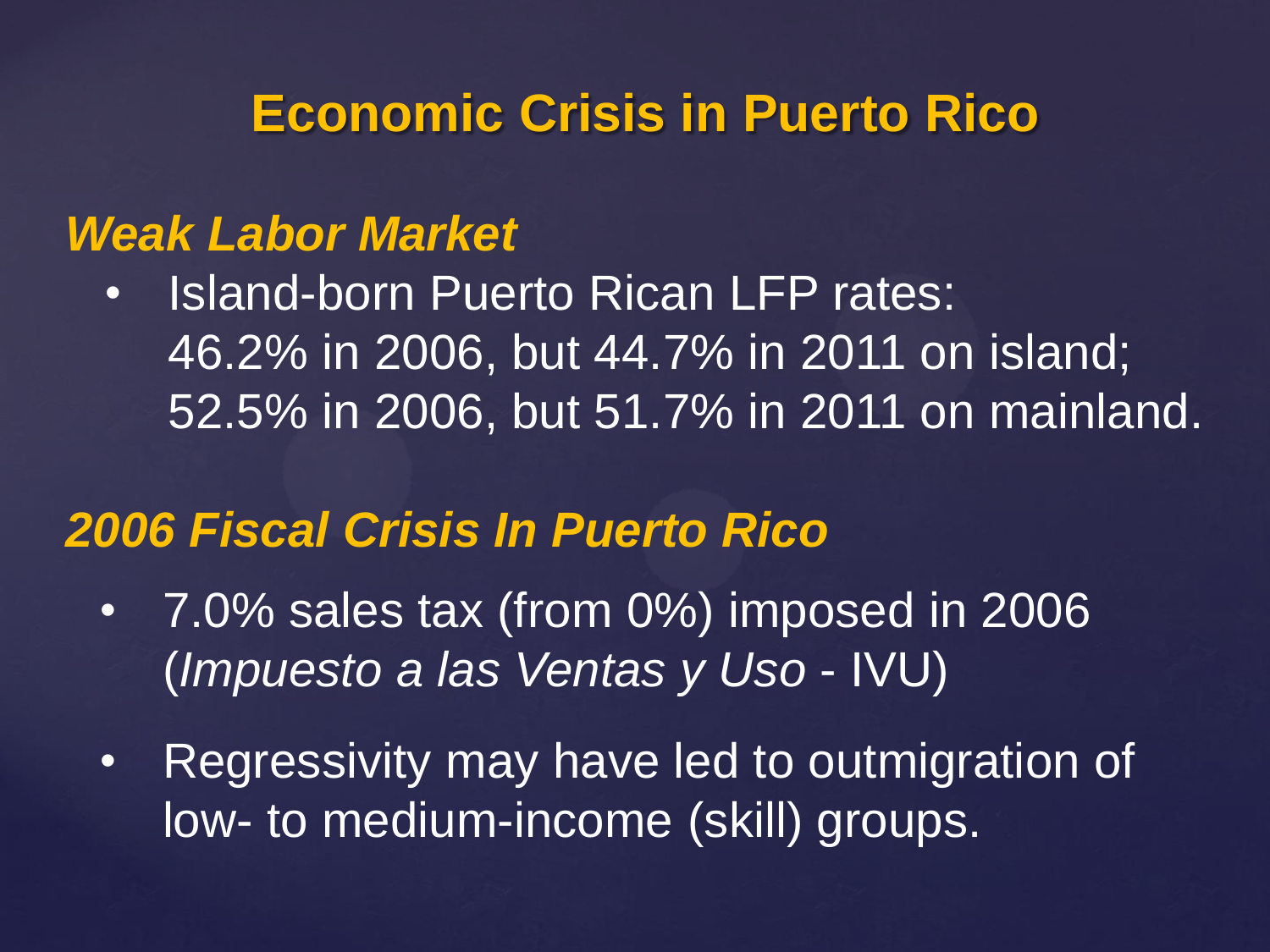### **Economic Crisis in Puerto Rico**

#### *Weak Labor Market*

• Island-born Puerto Rican LFP rates: 46.2% in 2006, but 44.7% in 2011 on island; 52.5% in 2006, but 51.7% in 2011 on mainland.

### *2006 Fiscal Crisis In Puerto Rico*

- 7.0% sales tax (from 0%) imposed in 2006 (*Impuesto a las Ventas y Uso* - IVU)
- Regressivity may have led to outmigration of low- to medium-income (skill) groups.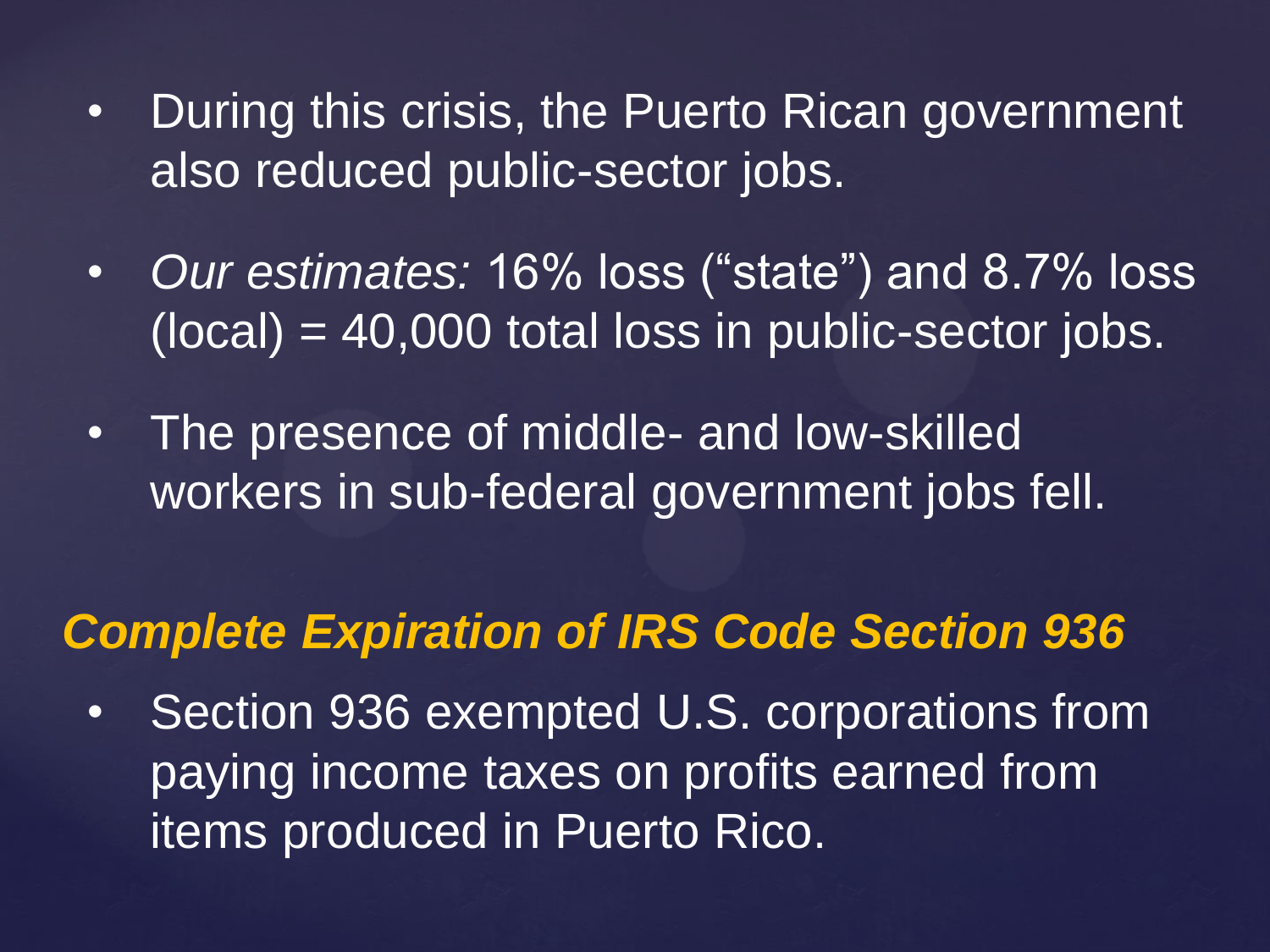- During this crisis, the Puerto Rican government also reduced public-sector jobs.
- *Our estimates:* 16% loss ("state") and 8.7% loss  $(local) = 40,000$  total loss in public-sector jobs.
- The presence of middle- and low-skilled workers in sub-federal government jobs fell.

## *Complete Expiration of IRS Code Section 936*

• Section 936 exempted U.S. corporations from paying income taxes on profits earned from items produced in Puerto Rico.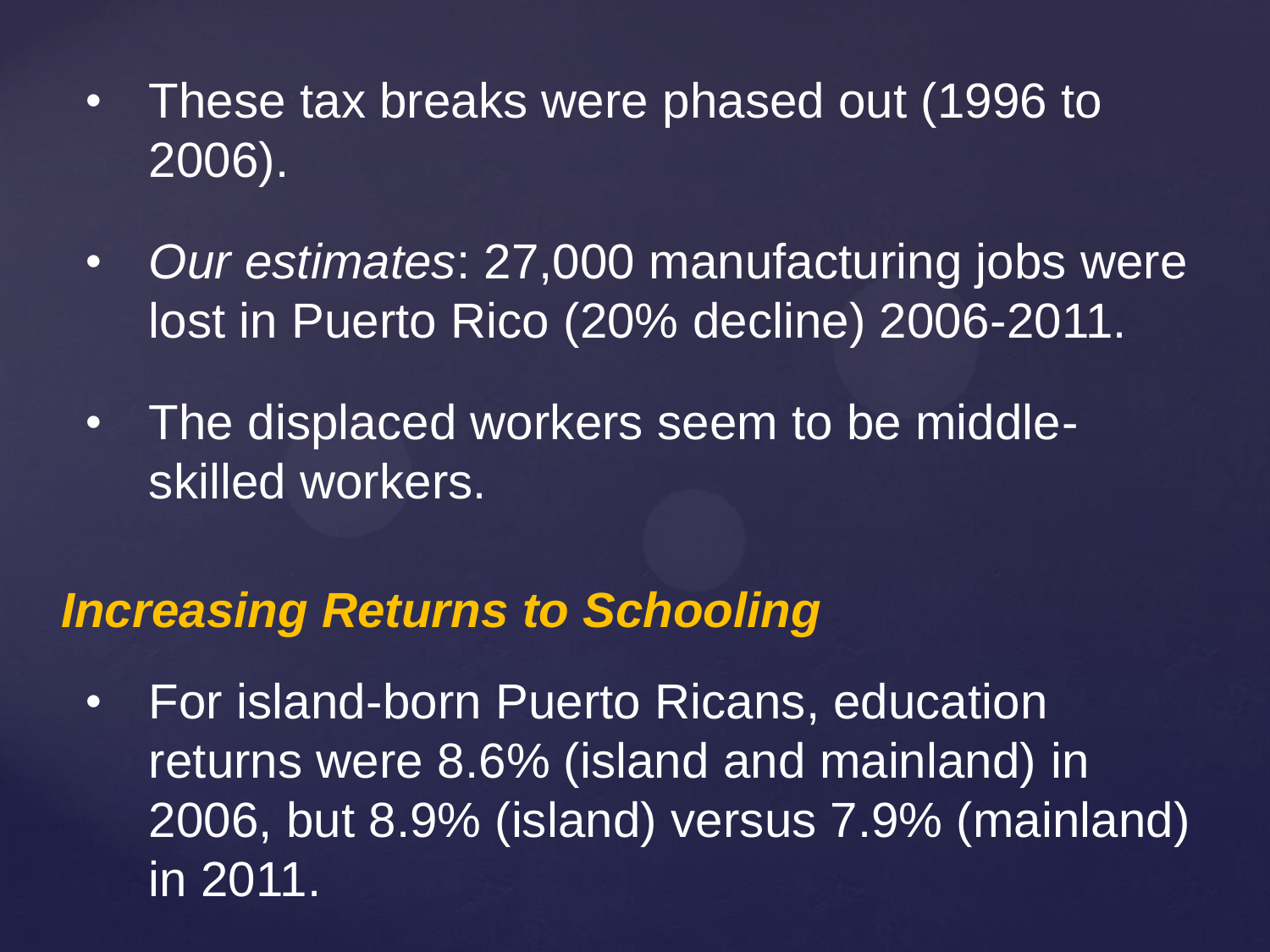- These tax breaks were phased out (1996 to 2006).
- *Our estimates*: 27,000 manufacturing jobs were lost in Puerto Rico (20% decline) 2006-2011.
- The displaced workers seem to be middleskilled workers.

#### *Increasing Returns to Schooling*

• For island-born Puerto Ricans, education returns were 8.6% (island and mainland) in 2006, but 8.9% (island) versus 7.9% (mainland) in 2011.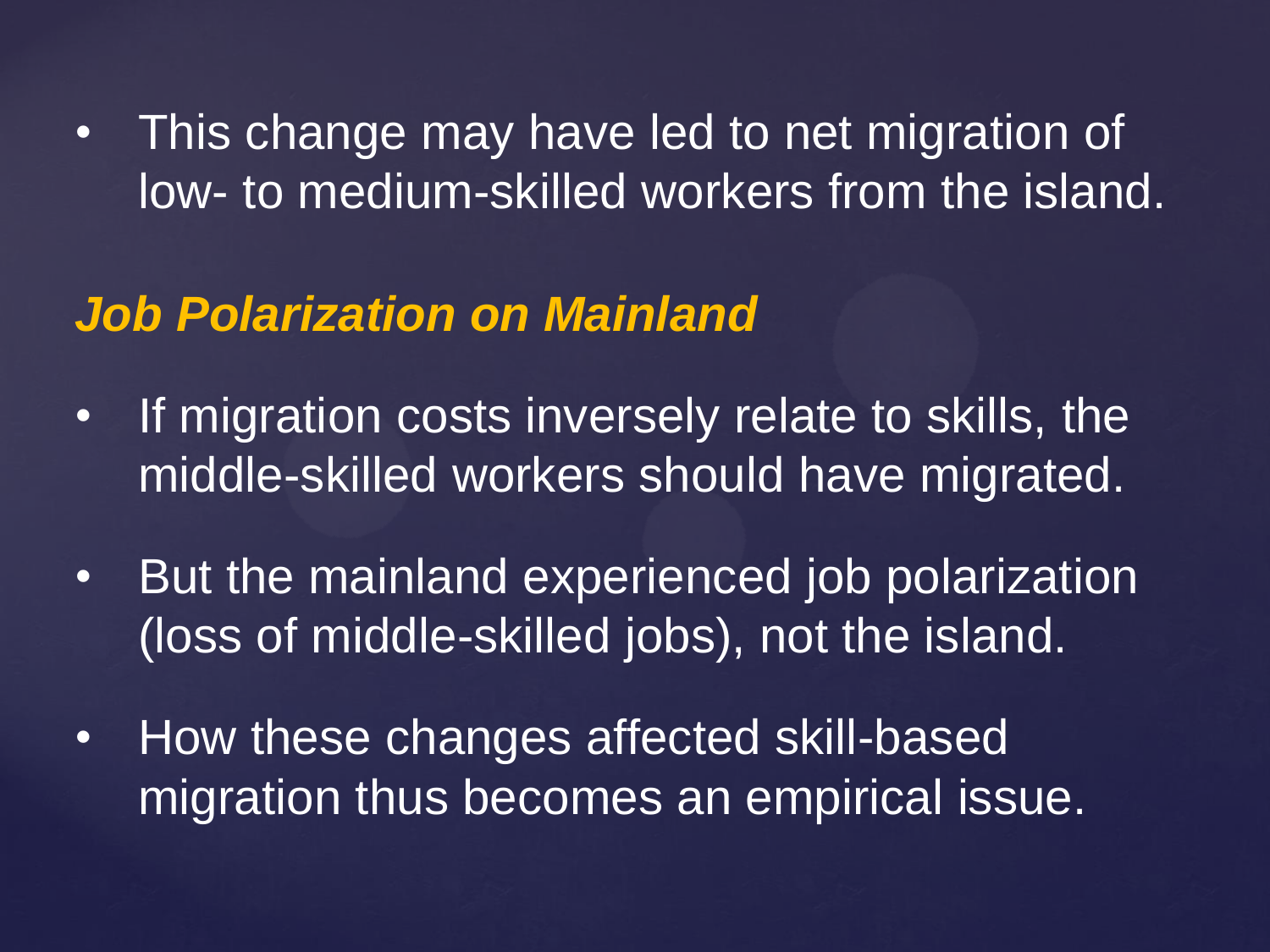• This change may have led to net migration of low- to medium-skilled workers from the island.

### *Job Polarization on Mainland*

- If migration costs inversely relate to skills, the middle-skilled workers should have migrated.
- But the mainland experienced job polarization (loss of middle-skilled jobs), not the island.
- How these changes affected skill-based migration thus becomes an empirical issue.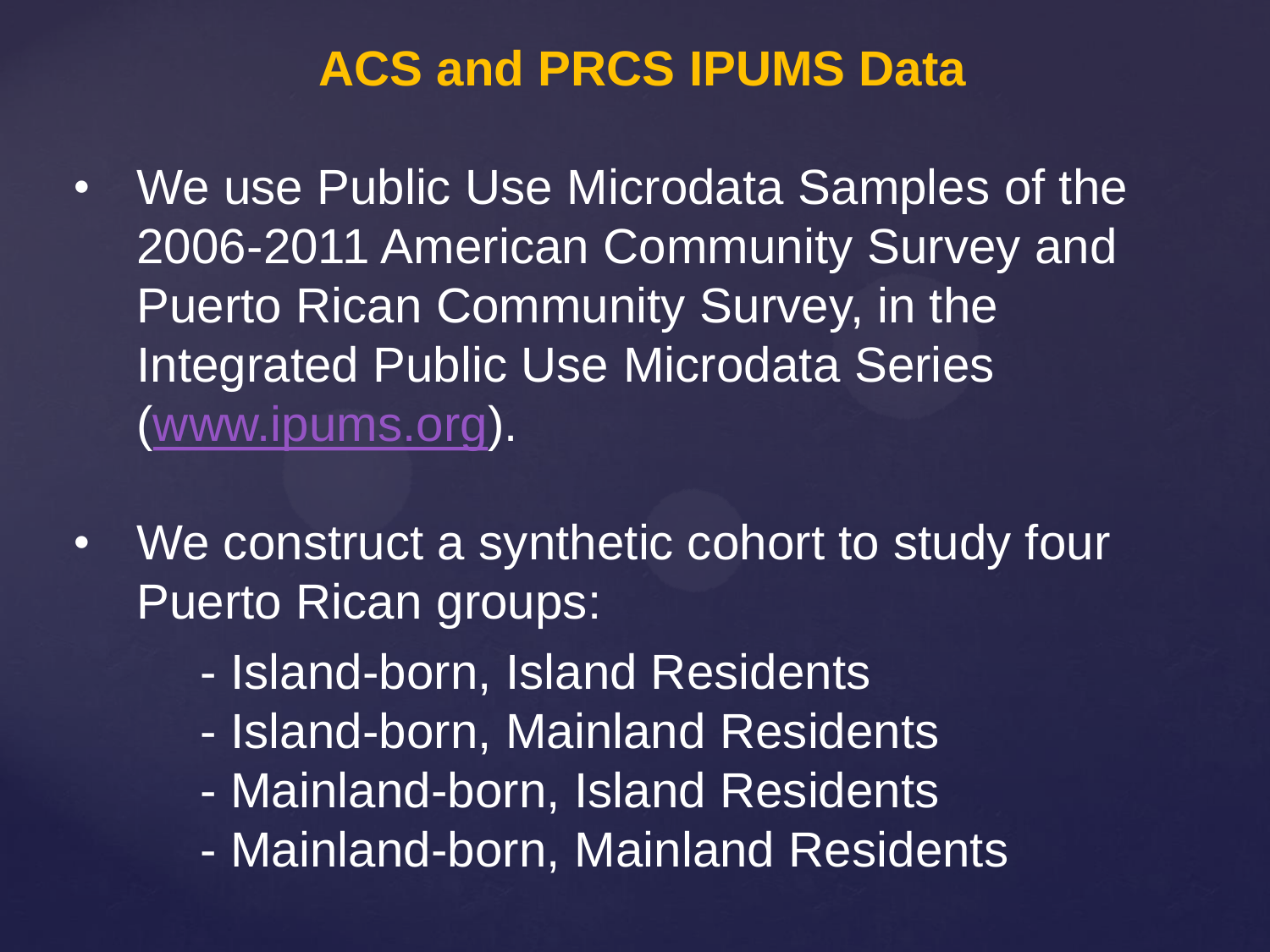### **ACS and PRCS IPUMS Data**

- We use Public Use Microdata Samples of the 2006-2011 American Community Survey and Puerto Rican Community Survey, in the Integrated Public Use Microdata Series ([www.ipums.org\)](http://www.ipums.org/).
- We construct a synthetic cohort to study four Puerto Rican groups:
	- Island-born, Island Residents
	- Island-born, Mainland Residents
	- Mainland-born, Island Residents
	- Mainland-born, Mainland Residents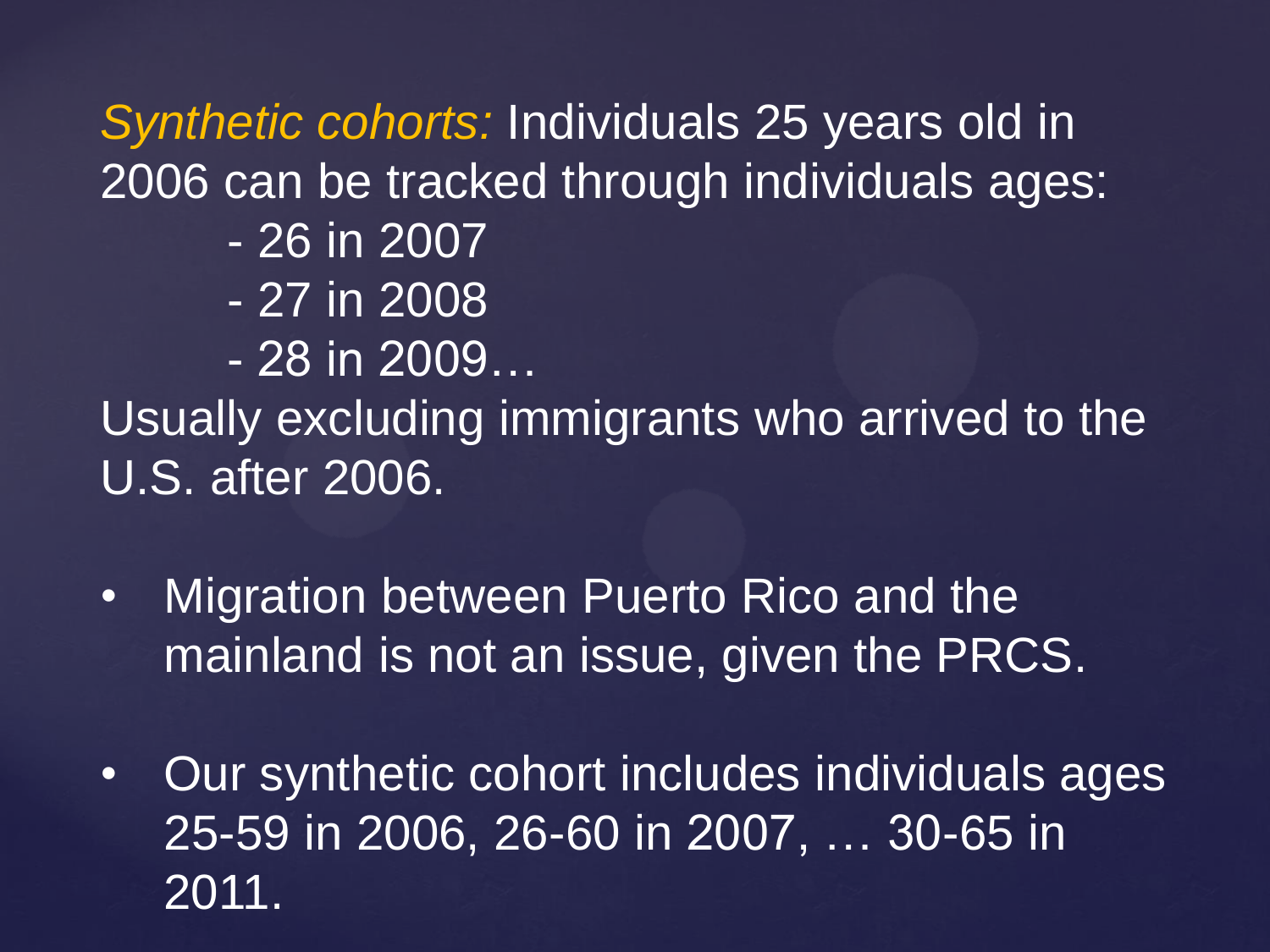*Synthetic cohorts:* Individuals 25 years old in 2006 can be tracked through individuals ages:

- 26 in 2007
- 27 in 2008
- 28 in 2009…

Usually excluding immigrants who arrived to the U.S. after 2006.

- Migration between Puerto Rico and the mainland is not an issue, given the PRCS.
- Our synthetic cohort includes individuals ages 25-59 in 2006, 26-60 in 2007, … 30-65 in 2011.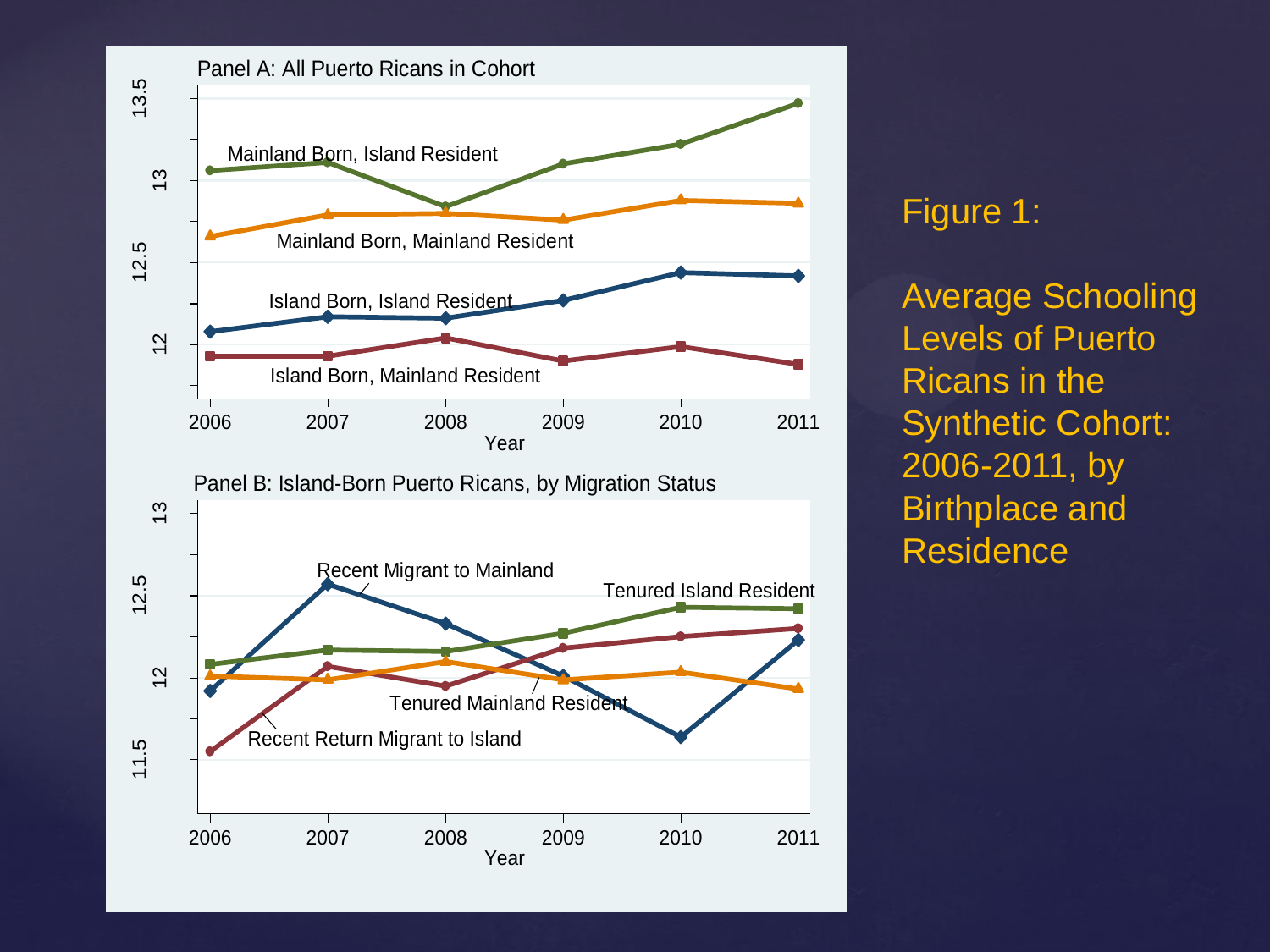

Figure 1:

Average Schooling Levels of Puerto Ricans in the Synthetic Cohort: 2006-2011, by Birthplace and Residence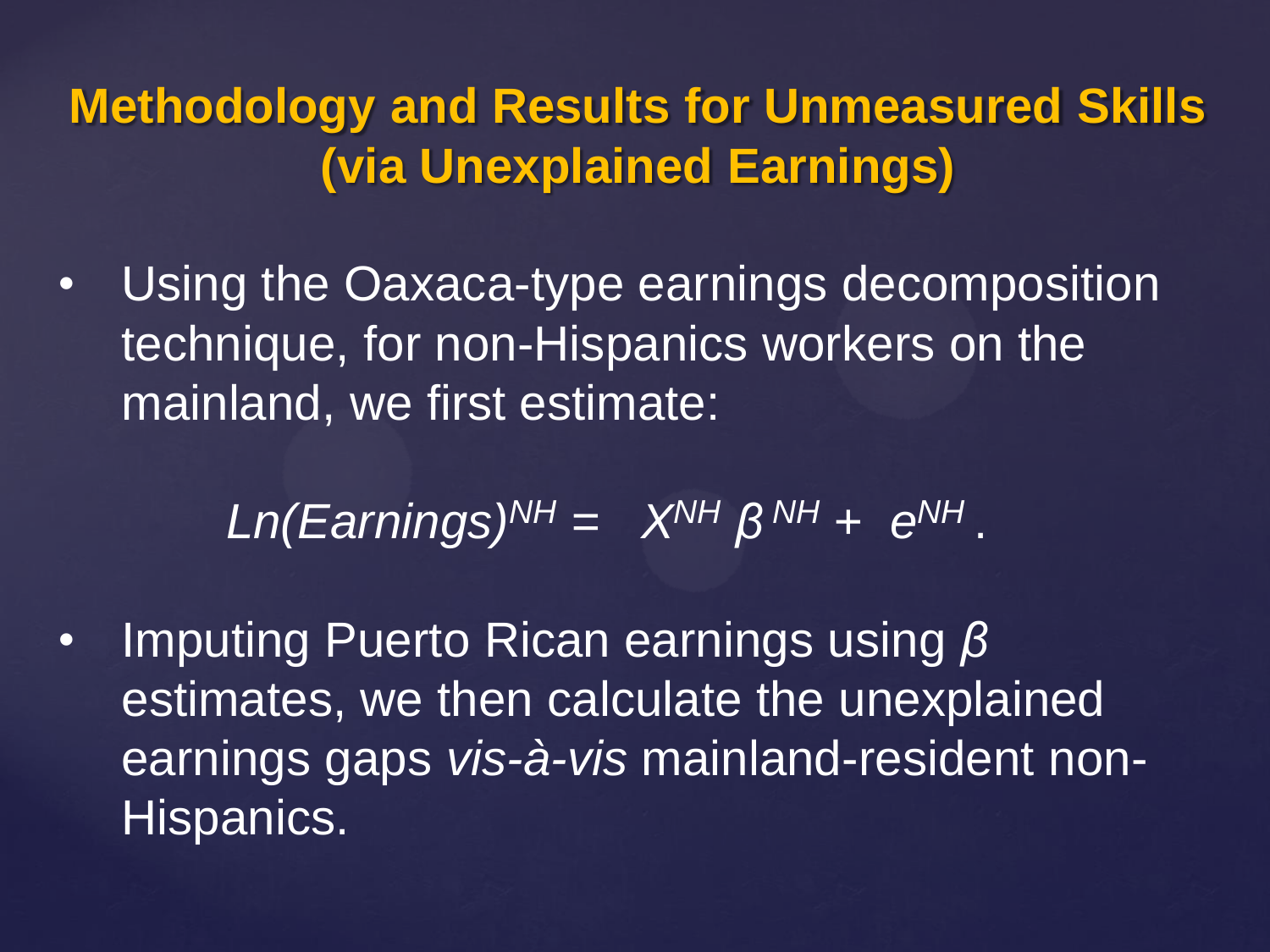**Methodology and Results for Unmeasured Skills (via Unexplained Earnings)**

• Using the Oaxaca-type earnings decomposition technique, for non-Hispanics workers on the mainland, we first estimate:

 $Ln(Earnings)^{NH} = X^{NH} \beta^{NH} + e^{NH}.$ 

• Imputing Puerto Rican earnings using *β* estimates, we then calculate the unexplained earnings gaps *vis-à-vis* mainland-resident non-Hispanics.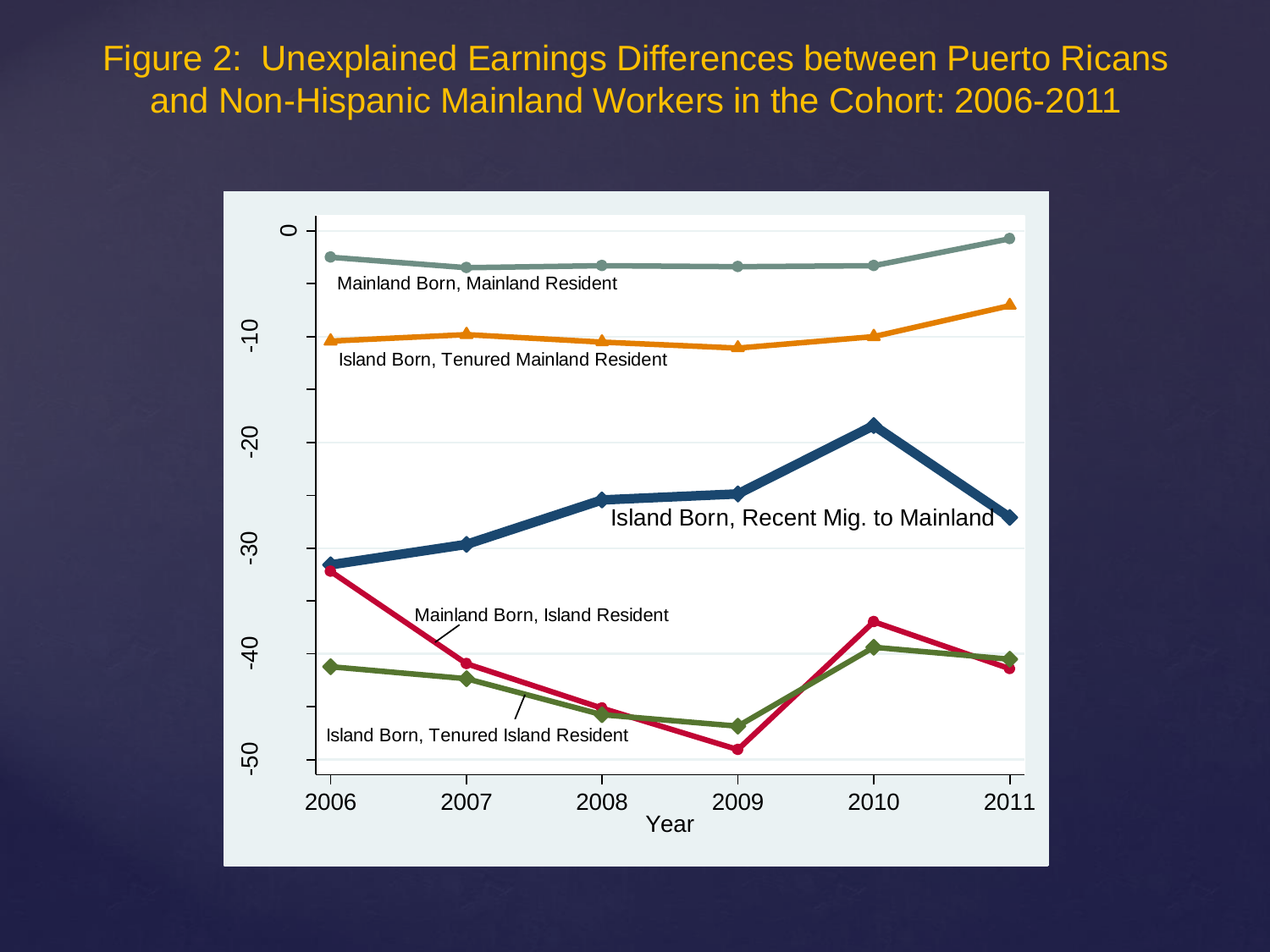Figure 2: Unexplained Earnings Differences between Puerto Ricans and Non-Hispanic Mainland Workers in the Cohort: 2006-2011

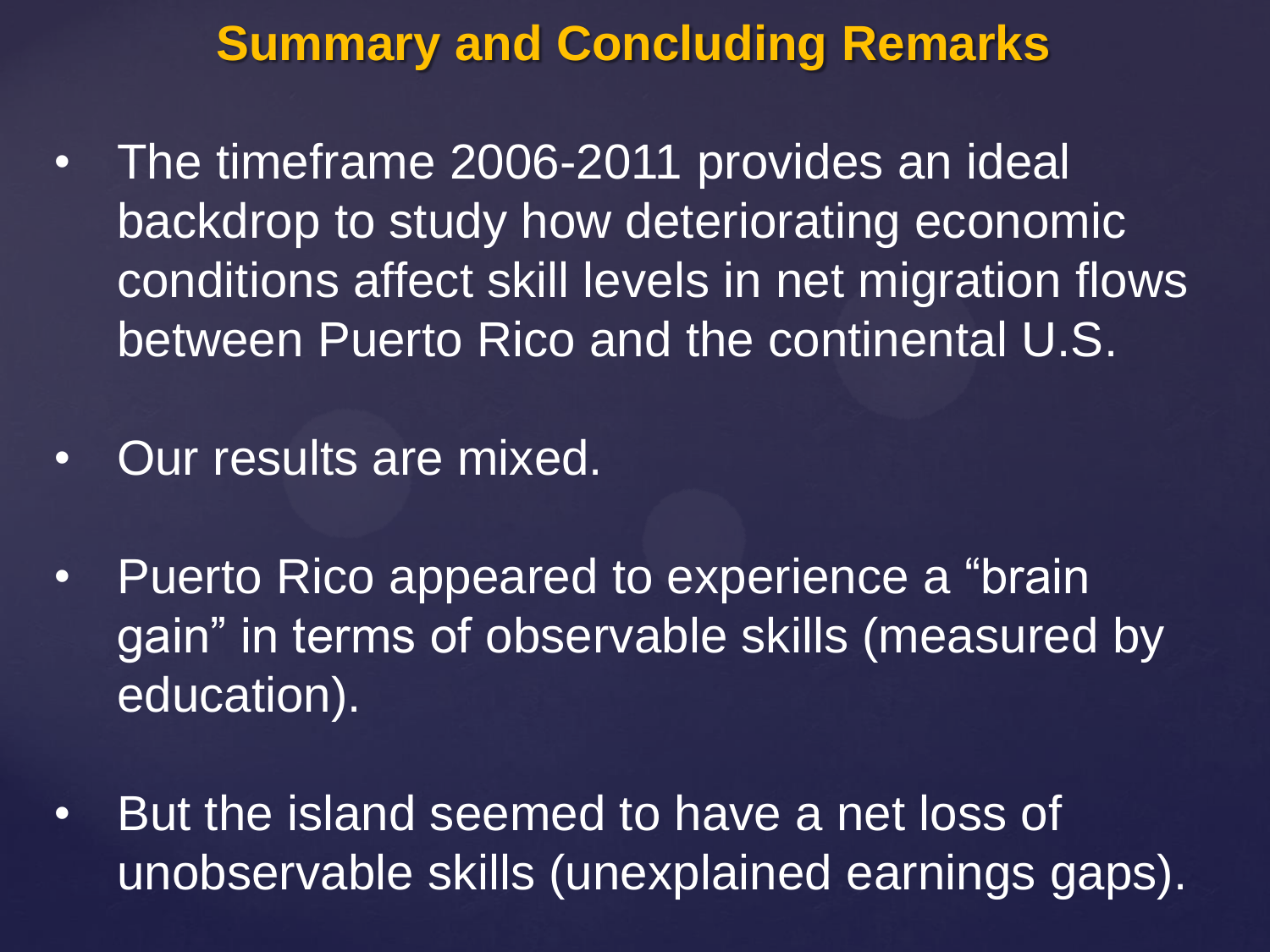## **Summary and Concluding Remarks**

- The timeframe 2006-2011 provides an ideal backdrop to study how deteriorating economic conditions affect skill levels in net migration flows between Puerto Rico and the continental U.S.
- Our results are mixed.
- Puerto Rico appeared to experience a "brain" gain" in terms of observable skills (measured by education).
- But the island seemed to have a net loss of unobservable skills (unexplained earnings gaps).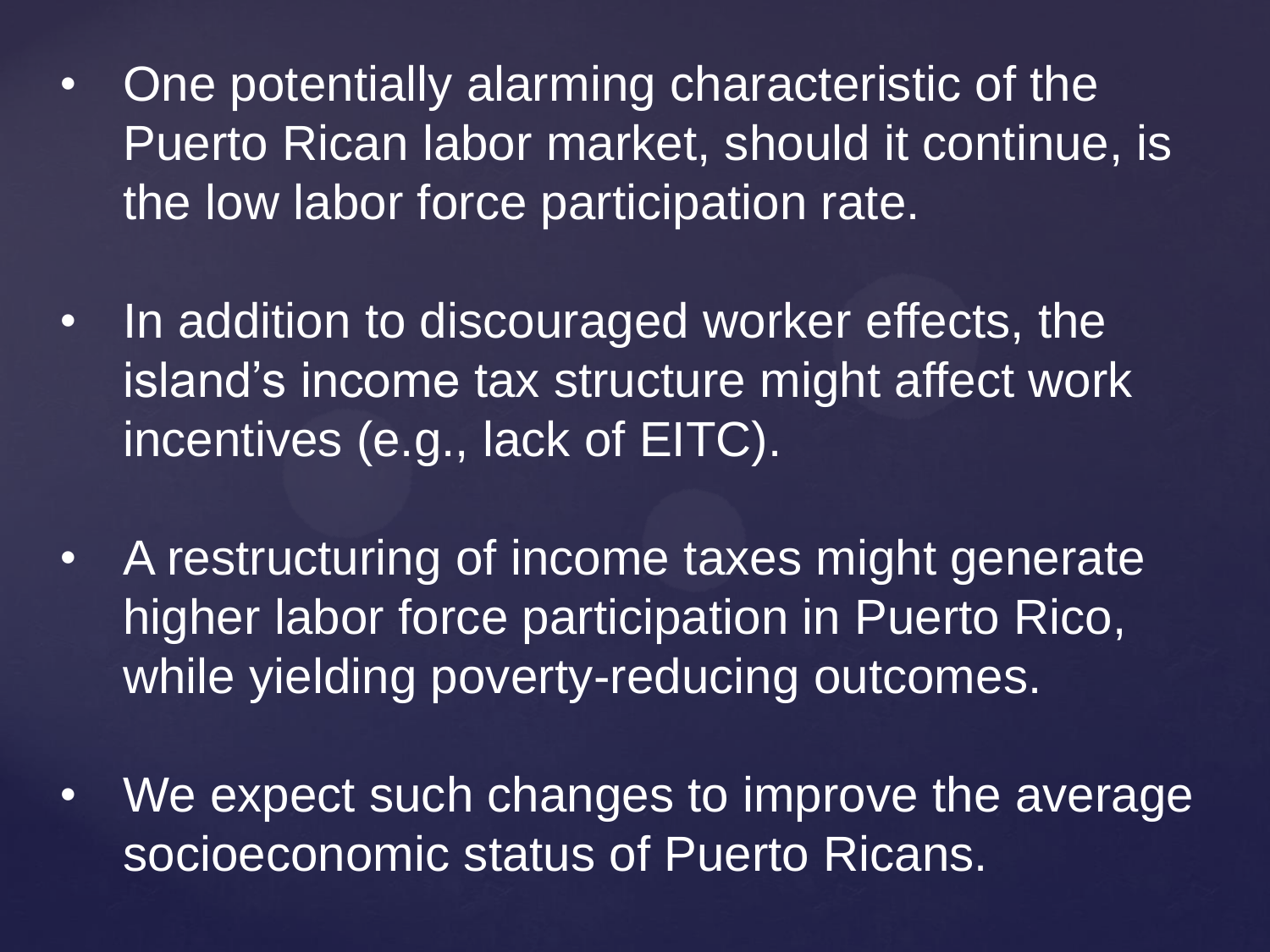- One potentially alarming characteristic of the Puerto Rican labor market, should it continue, is the low labor force participation rate.
- In addition to discouraged worker effects, the island's income tax structure might affect work incentives (e.g., lack of EITC).
- A restructuring of income taxes might generate higher labor force participation in Puerto Rico, while yielding poverty-reducing outcomes.
- We expect such changes to improve the average socioeconomic status of Puerto Ricans.